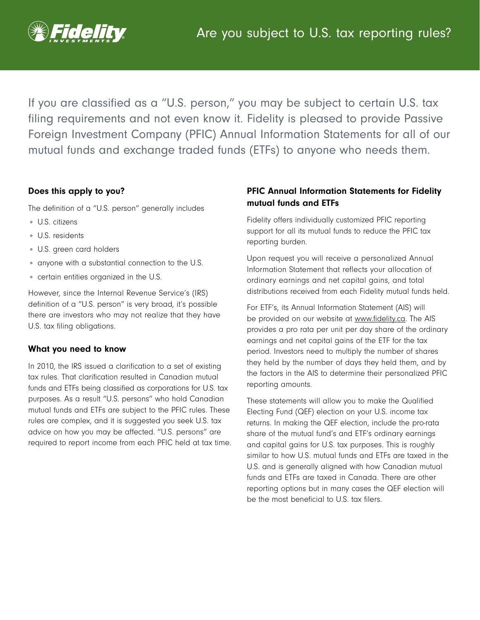

If you are classified as a "U.S. person," you may be subject to certain U.S. tax filing requirements and not even know it. Fidelity is pleased to provide Passive Foreign Investment Company (PFIC) Annual Information Statements for all of our mutual funds and exchange traded funds (ETFs) to anyone who needs them.

## Does this apply to you?

The definition of a "U.S. person" generally includes

- U.S. citizens
- U.S. residents
- U.S. green card holders
- anyone with a substantial connection to the U.S.
- certain entities organized in the U.S.

However, since the Internal Revenue Service's (IRS) definition of a "U.S. person" is very broad, it's possible there are investors who may not realize that they have U.S. tax filing obligations.

### What you need to know

In 2010, the IRS issued a clarification to a set of existing tax rules. That clarification resulted in Canadian mutual funds and ETFs being classified as corporations for U.S. tax purposes. As a result "U.S. persons" who hold Canadian mutual funds and ETFs are subject to the PFIC rules. These rules are complex, and it is suggested you seek U.S. tax advice on how you may be affected. "U.S. persons" are required to report income from each PFIC held at tax time.

# PFIC Annual Information Statements for Fidelity mutual funds and ETFs

Fidelity offers individually customized PFIC reporting support for all its mutual funds to reduce the PFIC tax reporting burden.

Upon request you will receive a personalized Annual Information Statement that reflects your allocation of ordinary earnings and net capital gains, and total distributions received from each Fidelity mutual funds held.

For ETF's, its Annual Information Statement (AIS) will be provided on our website at [www.fidelity.ca](https://www.fidelity.ca/fidca/en/pfic_etf_statements). The AIS provides a pro rata per unit per day share of the ordinary earnings and net capital gains of the ETF for the tax period. Investors need to multiply the number of shares they held by the number of days they held them, and by the factors in the AIS to determine their personalized PFIC reporting amounts.

These statements will allow you to make the Qualified Electing Fund (QEF) election on your U.S. income tax returns. In making the QEF election, include the pro-rata share of the mutual fund's and ETF's ordinary earnings and capital gains for U.S. tax purposes. This is roughly similar to how U.S. mutual funds and ETFs are taxed in the U.S. and is generally aligned with how Canadian mutual funds and ETFs are taxed in Canada. There are other reporting options but in many cases the QEF election will be the most beneficial to U.S. tax filers.